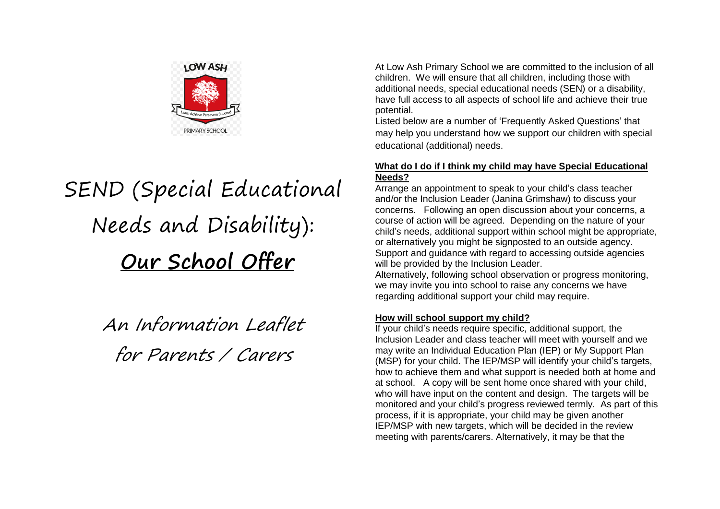

# SEND (Special Educational Needs and Disability): **Our School Offer**

An Information Leaflet for Parents / Carers

At Low Ash Primary School we are committed to the inclusion of all children. We will ensure that all children, including those with additional needs, special educational needs (SEN) or a disability, have full access to all aspects of school life and achieve their true potential.

Listed below are a number of 'Frequently Asked Questions' that may help you understand how we support our children with special educational (additional) needs.

## **What do I do if I think my child may have Special Educational Needs?**

Arrange an appointment to speak to your child's class teacher and/or the Inclusion Leader (Janina Grimshaw) to discuss your concerns. Following an open discussion about your concerns, a course of action will be agreed. Depending on the nature of your child's needs, additional support within school might be appropriate, or alternatively you might be signposted to an outside agency. Support and guidance with regard to accessing outside agencies will be provided by the Inclusion Leader.

Alternatively, following school observation or progress monitoring, we may invite you into school to raise any concerns we have regarding additional support your child may require.

# **How will school support my child?**

If your child's needs require specific, additional support, the Inclusion Leader and class teacher will meet with yourself and we may write an Individual Education Plan (IEP) or My Support Plan (MSP) for your child. The IEP/MSP will identify your child's targets, how to achieve them and what support is needed both at home and at school. A copy will be sent home once shared with your child, who will have input on the content and design. The targets will be monitored and your child's progress reviewed termly. As part of this process, if it is appropriate, your child may be given another IEP/MSP with new targets, which will be decided in the review meeting with parents/carers. Alternatively, it may be that the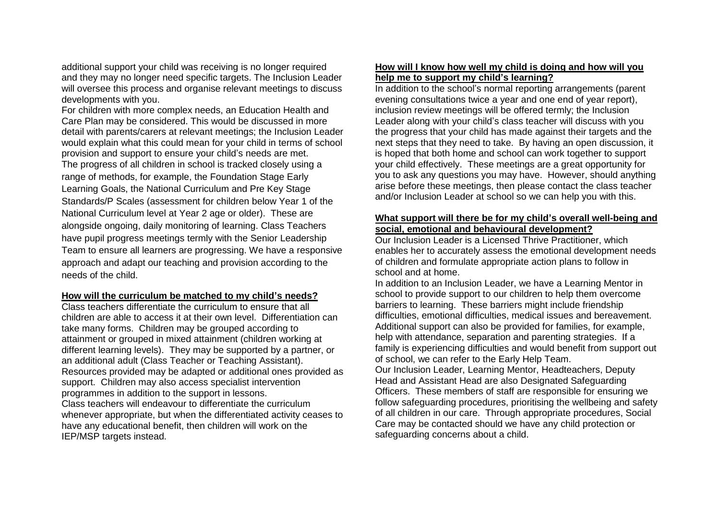additional support your child was receiving is no longer required and they may no longer need specific targets. The Inclusion Leader will oversee this process and organise relevant meetings to discuss developments with you.

For children with more complex needs, an Education Health and Care Plan may be considered. This would be discussed in more detail with parents/carers at relevant meetings; the Inclusion Leader would explain what this could mean for your child in terms of school provision and support to ensure your child's needs are met. The progress of all children in school is tracked closely using a range of methods, for example, the Foundation Stage Early Learning Goals, the National Curriculum and Pre Key Stage Standards/P Scales (assessment for children below Year 1 of the National Curriculum level at Year 2 age or older). These are alongside ongoing, daily monitoring of learning. Class Teachers have pupil progress meetings termly with the Senior Leadership Team to ensure all learners are progressing. We have a responsive approach and adapt our teaching and provision according to the needs of the child.

#### **How will the curriculum be matched to my child's needs?**

Class teachers differentiate the curriculum to ensure that all children are able to access it at their own level. Differentiation can take many forms. Children may be grouped according to attainment or grouped in mixed attainment (children working at different learning levels). They may be supported by a partner, or an additional adult (Class Teacher or Teaching Assistant). Resources provided may be adapted or additional ones provided as support. Children may also access specialist intervention programmes in addition to the support in lessons. Class teachers will endeavour to differentiate the curriculum whenever appropriate, but when the differentiated activity ceases to have any educational benefit, then children will work on the IEP/MSP targets instead.

#### **How will I know how well my child is doing and how will you help me to support my child's learning?**

In addition to the school's normal reporting arrangements (parent evening consultations twice a year and one end of year report), inclusion review meetings will be offered termly; the Inclusion Leader along with your child's class teacher will discuss with you the progress that your child has made against their targets and the next steps that they need to take. By having an open discussion, it is hoped that both home and school can work together to support your child effectively. These meetings are a great opportunity for you to ask any questions you may have. However, should anything arise before these meetings, then please contact the class teacher and/or Inclusion Leader at school so we can help you with this.

#### **What support will there be for my child's overall well-being and social, emotional and behavioural development?**

Our Inclusion Leader is a Licensed Thrive Practitioner, which enables her to accurately assess the emotional development needs of children and formulate appropriate action plans to follow in school and at home.

In addition to an Inclusion Leader, we have a Learning Mentor in school to provide support to our children to help them overcome barriers to learning. These barriers might include friendship difficulties, emotional difficulties, medical issues and bereavement. Additional support can also be provided for families, for example, help with attendance, separation and parenting strategies. If a family is experiencing difficulties and would benefit from support out of school, we can refer to the Early Help Team.

Our Inclusion Leader, Learning Mentor, Headteachers, Deputy Head and Assistant Head are also Designated Safeguarding Officers. These members of staff are responsible for ensuring we follow safeguarding procedures, prioritising the wellbeing and safety of all children in our care. Through appropriate procedures, Social Care may be contacted should we have any child protection or safeguarding concerns about a child.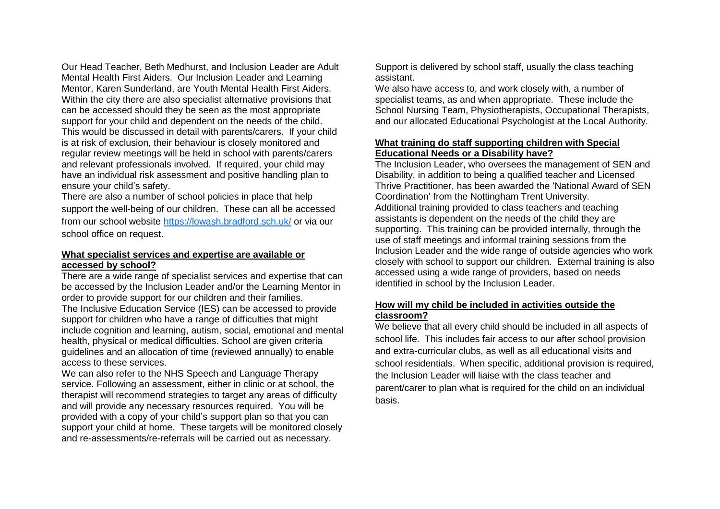Our Head Teacher, Beth Medhurst, and Inclusion Leader are Adult Mental Health First Aiders. Our Inclusion Leader and Learning Mentor, Karen Sunderland, are Youth Mental Health First Aiders. Within the city there are also specialist alternative provisions that can be accessed should they be seen as the most appropriate support for your child and dependent on the needs of the child. This would be discussed in detail with parents/carers. If your child is at risk of exclusion, their behaviour is closely monitored and regular review meetings will be held in school with parents/carers and relevant professionals involved. If required, your child may have an individual risk assessment and positive handling plan to ensure your child's safety.

There are also a number of school policies in place that help support the well-being of our children. These can all be accessed from our school website <https://lowash.bradford.sch.uk/> or via our school office on request.

#### **What specialist services and expertise are available or accessed by school?**

There are a wide range of specialist services and expertise that can be accessed by the Inclusion Leader and/or the Learning Mentor in order to provide support for our children and their families. The Inclusive Education Service (IES) can be accessed to provide support for children who have a range of difficulties that might include cognition and learning, autism, social, emotional and mental health, physical or medical difficulties. School are given criteria guidelines and an allocation of time (reviewed annually) to enable access to these services.

We can also refer to the NHS Speech and Language Therapy service. Following an assessment, either in clinic or at school, the therapist will recommend strategies to target any areas of difficulty and will provide any necessary resources required. You will be provided with a copy of your child's support plan so that you can support your child at home. These targets will be monitored closely and re-assessments/re-referrals will be carried out as necessary.

Support is delivered by school staff, usually the class teaching assistant.

We also have access to, and work closely with, a number of specialist teams, as and when appropriate. These include the School Nursing Team, Physiotherapists, Occupational Therapists, and our allocated Educational Psychologist at the Local Authority.

#### **What training do staff supporting children with Special Educational Needs or a Disability have?**

The Inclusion Leader, who oversees the management of SEN and Disability, in addition to being a qualified teacher and Licensed Thrive Practitioner, has been awarded the 'National Award of SEN Coordination' from the Nottingham Trent University. Additional training provided to class teachers and teaching assistants is dependent on the needs of the child they are supporting. This training can be provided internally, through the use of staff meetings and informal training sessions from the Inclusion Leader and the wide range of outside agencies who work closely with school to support our children. External training is also accessed using a wide range of providers, based on needs identified in school by the Inclusion Leader.

#### **How will my child be included in activities outside the classroom?**

We believe that all every child should be included in all aspects of school life. This includes fair access to our after school provision and extra-curricular clubs, as well as all educational visits and school residentials. When specific, additional provision is required, the Inclusion Leader will liaise with the class teacher and parent/carer to plan what is required for the child on an individual basis.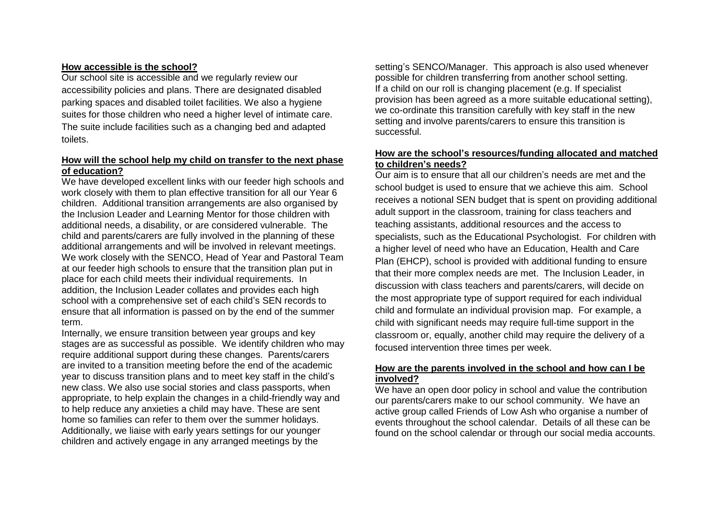## **How accessible is the school?**

Our school site is accessible and we regularly review our accessibility policies and plans. There are designated disabled parking spaces and disabled toilet facilities. We also a hygiene suites for those children who need a higher level of intimate care. The suite include facilities such as a changing bed and adapted toilets.

## **How will the school help my child on transfer to the next phase of education?**

We have developed excellent links with our feeder high schools and work closely with them to plan effective transition for all our Year 6 children. Additional transition arrangements are also organised by the Inclusion Leader and Learning Mentor for those children with additional needs, a disability, or are considered vulnerable. The child and parents/carers are fully involved in the planning of these additional arrangements and will be involved in relevant meetings. We work closely with the SENCO, Head of Year and Pastoral Team at our feeder high schools to ensure that the transition plan put in place for each child meets their individual requirements. In addition, the Inclusion Leader collates and provides each high school with a comprehensive set of each child's SEN records to ensure that all information is passed on by the end of the summer term.

Internally, we ensure transition between year groups and key stages are as successful as possible. We identify children who may require additional support during these changes. Parents/carers are invited to a transition meeting before the end of the academic year to discuss transition plans and to meet key staff in the child's new class. We also use social stories and class passports, when appropriate, to help explain the changes in a child-friendly way and to help reduce any anxieties a child may have. These are sent home so families can refer to them over the summer holidays. Additionally, we liaise with early years settings for our younger children and actively engage in any arranged meetings by the

setting's SENCO/Manager. This approach is also used whenever possible for children transferring from another school setting. If a child on our roll is changing placement (e.g. If specialist provision has been agreed as a more suitable educational setting), we co-ordinate this transition carefully with key staff in the new setting and involve parents/carers to ensure this transition is successful.

#### **How are the school's resources/funding allocated and matched to children's needs?**

Our aim is to ensure that all our children's needs are met and the school budget is used to ensure that we achieve this aim. School receives a notional SEN budget that is spent on providing additional adult support in the classroom, training for class teachers and teaching assistants, additional resources and the access to specialists, such as the Educational Psychologist. For children with a higher level of need who have an Education, Health and Care Plan (EHCP), school is provided with additional funding to ensure that their more complex needs are met. The Inclusion Leader, in discussion with class teachers and parents/carers, will decide on the most appropriate type of support required for each individual child and formulate an individual provision map. For example, a child with significant needs may require full-time support in the classroom or, equally, another child may require the delivery of a focused intervention three times per week.

#### **How are the parents involved in the school and how can I be involved?**

We have an open door policy in school and value the contribution our parents/carers make to our school community. We have an active group called Friends of Low Ash who organise a number of events throughout the school calendar. Details of all these can be found on the school calendar or through our social media accounts.